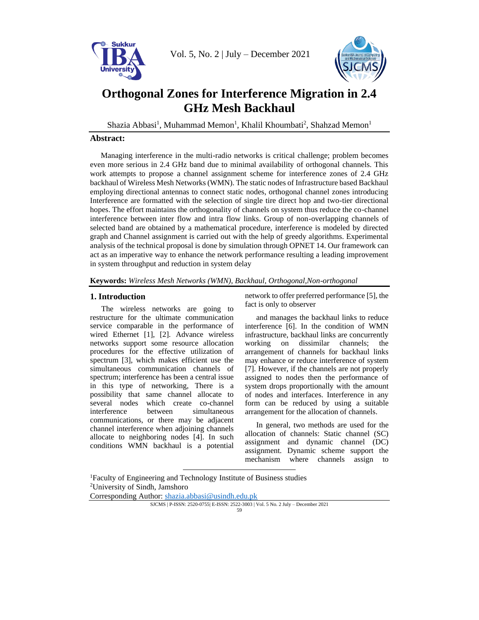

Vol. 5, No. 2 | July – December 2021



# **Orthogonal Zones for Interference Migration in 2.4 GHz Mesh Backhaul**

<span id="page-0-0"></span>Shazia Abbasi<sup>1</sup>, Muhammad Memo[n](#page-0-0)<sup>1</sup>, Khalil Khoumbati<sup>2</sup>, Shahzad Memon<sup>1</sup>

### **Abstract:**

Managing interference in the multi-radio networks is critical challenge; problem becomes even more serious in 2.4 GHz band due to minimal availability of orthogonal channels. This work attempts to propose a channel assignment scheme for interference zones of 2.4 GHz backhaul of Wireless Mesh Networks (WMN). The static nodes of Infrastructure based Backhaul employing directional antennas to connect static nodes, orthogonal channel zones introducing Interference are formatted with the selection of single tire direct hop and two-tier directional hopes. The effort maintains the orthogonality of channels on system thus reduce the co-channel interference between inter flow and intra flow links. Group of non-overlapping channels of selected band are obtained by a mathematical procedure, interference is modeled by directed graph and Channel assignment is carried out with the help of greedy algorithms. Experimental analysis of the technical proposal is done by simulation through OPNET 14. Our framework can act as an imperative way to enhance the network performance resulting a leading improvement in system throughput and reduction in system delay

**Keywords:** *Wireless Mesh Networks (WMN), Backhaul, Orthogonal,Non-orthogonal*

## **1. Introduction**

The wireless networks are going to restructure for the ultimate communication service comparable in the performance of wired Ethernet [1], [2]. Advance wireless networks support some resource allocation procedures for the effective utilization of spectrum [3], which makes efficient use the simultaneous communication channels of spectrum; interference has been a central issue in this type of networking, There is a possibility that same channel allocate to several nodes which create co-channel interference between simultaneous communications, or there may be adjacent channel interference when adjoining channels allocate to neighboring nodes [4]. In such conditions WMN backhaul is a potential network to offer preferred performance [5], the fact is only to observer

and manages the backhaul links to reduce interference [6]. In the condition of WMN infrastructure, backhaul links are concurrently working on dissimilar channels; the arrangement of channels for backhaul links may enhance or reduce interference of system [7]. However, if the channels are not properly assigned to nodes then the performance of system drops proportionally with the amount of nodes and interfaces. Interference in any form can be reduced by using a suitable arrangement for the allocation of channels.

In general, two methods are used for the allocation of channels: Static channel (SC) assignment and dynamic channel (DC) assignment. Dynamic scheme support the mechanism where channels assign to

<sup>1</sup>Faculty of Engineering and Technology Institute of Business studies <sup>2</sup>University of Sindh, Jamshoro

Corresponding Author: [shazia.abbasi@usindh.edu.pk](mailto:shazia.abbasi@usindh.edu.pk)

SJCMS | P-ISSN: 2520-0755| E-ISSN: 2522-3003 | Vol. 5 No. 2 July – December 2021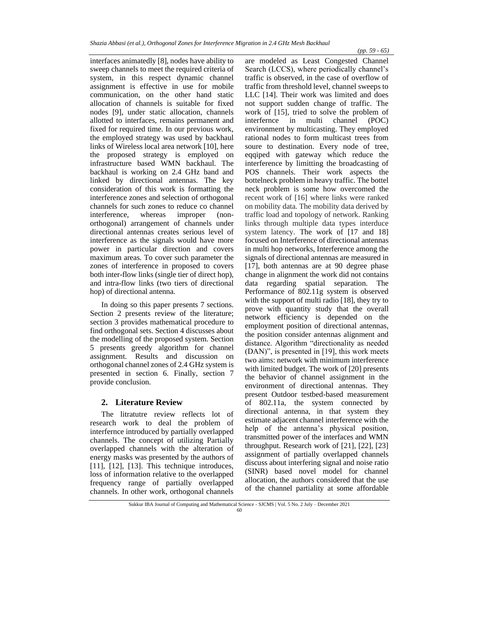interfaces animatedly [8], nodes have ability to sweep channels to meet the required criteria of system, in this respect dynamic channel assignment is effective in use for mobile communication, on the other hand static allocation of channels is suitable for fixed nodes [9], under static allocation, channels allotted to interfaces, remains permanent and fixed for required time. In our previous work, the employed strategy was used by backhaul links of Wireless local area network [10], here the proposed strategy is employed on infrastructure based WMN backhaul. The backhaul is working on 2.4 GHz band and linked by directional antennas. The key consideration of this work is formatting the interference zones and selection of orthogonal channels for such zones to reduce co channel interference, whereas improper (nonorthogonal) arrangement of channels under directional antennas creates serious level of interference as the signals would have more power in particular direction and covers maximum areas. To cover such parameter the zones of interference in proposed to covers both inter-flow links (single tier of direct hop), and intra-flow links (two tiers of directional hop) of directional antenna.

In doing so this paper presents 7 sections. Section 2 presents review of the literature; section 3 provides mathematical procedure to find orthogonal sets. Section 4 discusses about the modelling of the proposed system. Section 5 presents greedy algorithm for channel assignment. Results and discussion on orthogonal channel zones of 2.4 GHz system is presented in section 6. Finally, section 7 provide conclusion.

#### **2. Literature Review**

The litratutre review reflects lot of research work to deal the problem of interfernce introduced by partially overlapped channels. The concept of utilizing Partially overlapped channels with the alteration of energy masks was presented by the authors of [11], [12], [13]. This technique introduces, loss of information relative to the overlapped frequency range of partially overlapped channels. In other work, orthogonal channels

are modeled as Least Congested Channel Search (LCCS), where periodically channel's traffic is observed, in the case of overflow of traffic from threshold level, channel sweeps to LLC [14]. Their work was limited and does not support sudden change of traffic. The work of [15], tried to solve the problem of interfernce in multi channel (POC) environment by multicasting. They employed rational nodes to form multicast trees from soure to destination. Every node of tree, eqqiped with gateway which reduce the interference by limitting the broadcasting of POS channels. Their work aspects the bottelneck problem in heavy traffic. The bottel neck problem is some how overcomed the recent work of [16] where links were ranked on mobility data. The mobility data derived by traffic load and topology of network. Ranking links through multiple data types interduce system latency. The work of [17 and 18] focused on Interference of directional antennas in multi hop networks, Interference among the signals of directional antennas are measured in [17], both antennas are at 90 degree phase change in alignment the work did not contains data regarding spatial separation. The Performance of 802.11g system is observed with the support of multi radio [18], they try to prove with quantity study that the overall network efficiency is depended on the employment position of directional antennas, the position consider antennas alignment and distance. Algorithm "directionality as needed (DAN)", is presented in [19], this work meets two aims: network with minimum interference with limited budget. The work of [20] presents the behavior of channel assignment in the environment of directional antennas. They present Outdoor testbed-based measurement of 802.11a, the system connected by directional antenna, in that system they estimate adjacent channel interference with the help of the antenna's physical position, transmitted power of the interfaces and WMN throughput. Research work of [21], [22], [23] assignment of partially overlapped channels discuss about interfering signal and noise ratio (SINR) based novel model for channel allocation, the authors considered that the use of the channel partiality at some affordable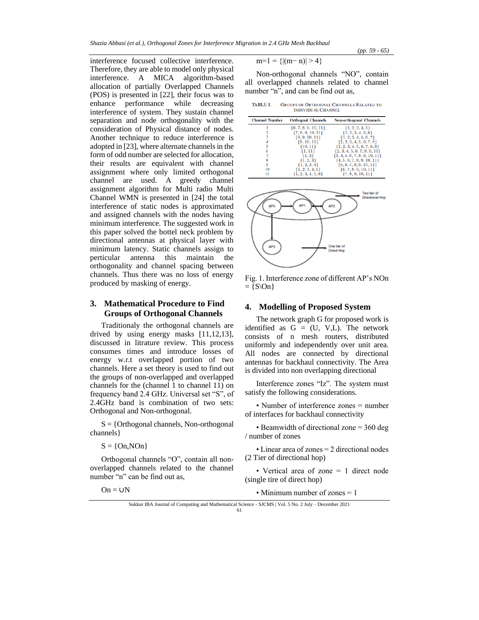*(pp. 59 - 65)*

interference focused collective interference. Therefore, they are able to model only physical interference. A MICA algorithm-based allocation of partially Overlapped Channels (POS) is presented in [22], their focus was to enhance performance while decreasing interference of system. They sustain channel separation and node orthogonality with the consideration of Physical distance of nodes. Another technique to reduce interference is adopted in [23], where alternate channels in the form of odd number are selected for allocation, their results are equivalent with channel assignment where only limited orthogonal channel are used. A greedy channel assignment algorithm for Multi radio Multi Channel WMN is presented in [24] the total interference of static nodes is approximated and assigned channels with the nodes having minimum interference. The suggested work in this paper solved the bottel neck problem by directional antennas at physical layer with minimum latency. Static channels assign to perticular antenna this maintain the orthogonality and channel spacing between channels. Thus there was no loss of energy produced by masking of energy.

## **3. Mathematical Procedure to Find Groups of Orthogonal Channels**

Traditionaly the orthogonal channels are drived by using energy masks [11,12,13], discussed in litrature review. This process consumes times and introduce losses of energy w.r.t overlapped portion of two channels. Here a set theory is used to find out the groups of non-overlapped and overlapped channels for the (channel 1 to channel 11) on frequency band 2.4 GHz. Universal set "S", of 2.4GHz band is combination of two sets: Orthogonal and Non-orthogonal.

 $S = \{Orthogonal channels, Non-orthogonal$ channels}

 $S = \{On, NOn\}$ 

 $On = UN$ 

Orthogonal channels "O", contain all nonoverlapped channels related to the channel number "n" can be find out as,

 $m=1$  = { $|(m-n)| > 4$ }

Non-orthogonal channels "NO", contain all overlapped channels related to channel number "n", and can be find out as,

| <b>TABLE I.</b> | <b>GROUPS OF ORTHOGNAL CHANNELS RELATED TO</b> |
|-----------------|------------------------------------------------|
|                 | <b>INDIVIDUAL CHANNEL</b>                      |





Fig. 1. Interference zone of different AP's NOn  $=$  {S\On }

### **4. Modelling of Proposed System**

The network graph G for proposed work is identified as  $G = (U, V, L)$ . The network consists of n mesh routers, distributed uniformly and independently over unit area. All nodes are connected by directional antennas for backhaul connectivity. The Area is divided into non overlapping directional

Interference zones "Iz". The system must satisfy the following considerations.

• Number of interference zones = number of interfaces for backhaul connectivity

• Beamwidth of directional zone = 360 deg / number of zones

• Linear area of zones = 2 directional nodes (2 Tier of directional hop)

• Vertical area of zone = 1 direct node (single tire of direct hop)

• Minimum number of zones = 1

Sukkur IBA Journal of Computing and Mathematical Science - SJCMS | Vol. 5 No. 2 July – December 2021 61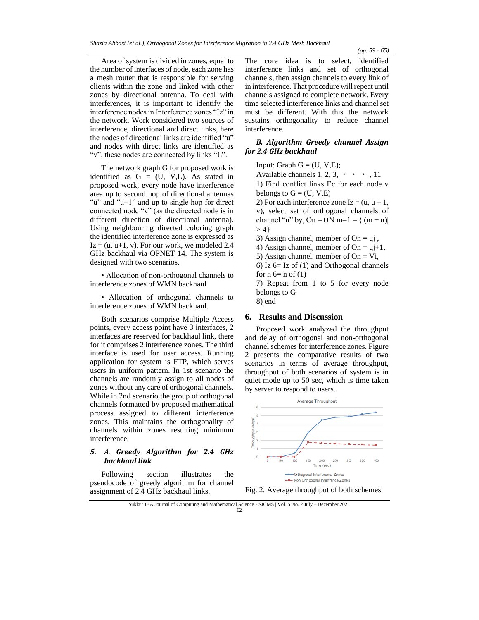Area of system is divided in zones, equal to the number of interfaces of node, each zone has a mesh router that is responsible for serving clients within the zone and linked with other zones by directional antenna. To deal with interferences, it is important to identify the interference nodes in Interference zones "Iz" in the network. Work considered two sources of interference, directional and direct links, here the nodes of directional links are identified "u" and nodes with direct links are identified as "v", these nodes are connected by links "L".

The network graph G for proposed work is identified as  $G = (U, V, L)$ . As stated in proposed work, every node have interference area up to second hop of directional antennas "u" and "u+1" and up to single hop for direct connected node "v" (as the directed node is in different direction of directional antenna). Using neighbouring directed coloring graph the identified interference zone is expressed as  $Iz = (u, u+1, v)$ . For our work, we modeled 2.4 GHz backhaul via OPNET 14. The system is designed with two scenarios.

• Allocation of non-orthogonal channels to interference zones of WMN backhaul

• Allocation of orthogonal channels to interference zones of WMN backhaul.

Both scenarios comprise Multiple Access points, every access point have 3 interfaces, 2 interfaces are reserved for backhaul link, there for it comprises 2 interference zones. The third interface is used for user access. Running application for system is FTP, which serves users in uniform pattern. In 1st scenario the channels are randomly assign to all nodes of zones without any care of orthogonal channels. While in 2nd scenario the group of orthogonal channels formatted by proposed mathematical process assigned to different interference zones. This maintains the orthogonality of channels within zones resulting minimum interference.

#### *5. A. Greedy Algorithm for 2.4 GHz backhaul link*

Following section illustrates the pseudocode of greedy algorithm for channel assignment of 2.4 GHz backhaul links.

The core idea is to select, identified interference links and set of orthogonal channels, then assign channels to every link of in interference. That procedure will repeat until channels assigned to complete network. Every time selected interference links and channel set must be different. With this the network sustains orthogonality to reduce channel interference.

#### *B. Algorithm Greedy channel Assign for 2.4 GHz backhaul*

Input: Graph  $G = (U, V, E)$ ;

Available channels  $1, 2, 3, \cdot \cdot \cdot$ , 11

1) Find conflict links Ec for each node v belongs to  $G = (U, V, E)$ 

2) For each interference zone  $Iz = (u, u + 1,$ v), select set of orthogonal channels of channel "n" by, On = ∪N m=1 = { $|(m - n)|$  $> 4$ }

3) Assign channel, member of  $On = uj$ ,

4) Assign channel, member of On =  $uj+1$ ,

5) Assign channel, member of  $On = Vi$ ,

6) Iz 6= Iz of (1) and Orthogonal channels for  $n 6= n 0f(1)$ 

7) Repeat from 1 to 5 for every node belongs to G

8) end

#### **6. Results and Discussion**

Proposed work analyzed the throughput and delay of orthogonal and non-orthogonal channel schemes for interference zones. Figure 2 presents the comparative results of two scenarios in terms of average throughput, throughput of both scenarios of system is in quiet mode up to 50 sec, which is time taken by server to respond to users.



Fig. 2. Average throughput of both schemes

Sukkur IBA Journal of Computing and Mathematical Science - SJCMS | Vol. 5 No. 2 July – December 2021 62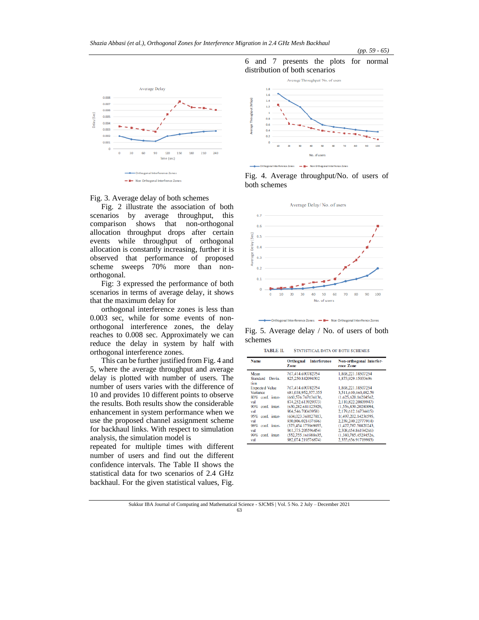



Fig. 2 illustrate the association of both scenarios by average throughput, this comparison shows that non-orthogonal allocation throughput drops after certain events while throughput of orthogonal allocation is constantly increasing, further it is observed that performance of proposed scheme sweeps 70% more than nonorthogonal.

Fig: 3 expressed the performance of both scenarios in terms of average delay, it shows that the maximum delay for

orthogonal interference zones is less than 0.003 sec, while for some events of nonorthogonal interference zones, the delay reaches to 0.008 sec. Approximately we can reduce the delay in system by half with orthogonal interference zones.

This can be further justified from Fig. 4 and 5, where the average throughput and average delay is plotted with number of users. The number of users varies with the difference of 10 and provides 10 different points to observe the results. Both results show the considerable enhancement in system performance when we use the proposed channel assignment scheme for backhaul links. With respect to simulation analysis, the simulation model is

repeated for multiple times with different number of users and find out the different confidence intervals. The Table II shows the statistical data for two scenarios of 2.4 GHz backhaul. For the given statistical values, Fig.



*(pp. 59 - 65)*





al Interference Zones - - D- Non Orthogonal Interfrence Zones

Fig. 5. Average delay / No. of users of both schemes

| <b>Name</b>                | <b>Interference</b><br>Orthognal<br>Zone | Non-orthogonal Interfer-<br>ence Zone    |
|----------------------------|------------------------------------------|------------------------------------------|
| Mean<br>Standard<br>Devia- | 767,414,690782754<br>825,250.842094302   | 1,868,221.18507254<br>1,873,929.15033696 |
| tion                       |                                          |                                          |
| <b>Expected Value</b>      | 767,414.690782754                        | 1,868,221.18507254                       |
| Variance                   | 681,038,952,377.355                      | 3,511,610,460,482.59                     |
| 80% conf. inter-           | (660.576.767636136.                      | (1.625.620.16204562.                     |
| val                        | 874.252.613929373)                       | 2,110,822.20809947)                      |
| 90% conf. inter-           | (630,282.681125929,                      | (1,556,830.20280094,                     |
| val                        | 904.546.70043958)                        | 2.179.612.16734415)                      |
| 95% conf. inter-           | (604.023.360127813.                      | 1(.497.202.14236595.                     |
| val                        | 930.806.021437696)                       | 2.239.240.22777914)                      |
| 98% conf. inter-           | (573.454.175969055.                      | (1.427.787.50820243.                     |
| val                        | 961.375.205596454)                       | 2.308.654.86194266)                      |
| 99% conf. inter-           | (552,755,161988635,                      | (1.380, 785, 45294526,                   |
| val                        | 982.074.219576874)                       | 2.355.656.91719983)                      |

Sukkur IBA Journal of Computing and Mathematical Science - SJCMS | Vol. 5 No. 2 July – December 2021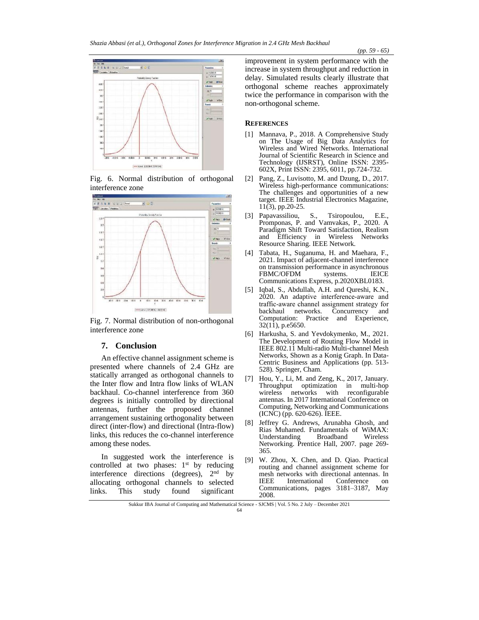

Fig. 6. Normal distribution of orthogonal interference zone



Fig. 7. Normal distribution of non-orthogonal interference zone

#### **7. Conclusion**

An effective channel assignment scheme is presented where channels of 2.4 GHz are statically arranged as orthogonal channels to the Inter flow and Intra flow links of WLAN backhaul. Co-channel interference from 360 degrees is initially controlled by directional antennas, further the proposed channel arrangement sustaining orthogonality between direct (inter-flow) and directional (Intra-flow) links, this reduces the co-channel interference among these nodes.

In suggested work the interference is controlled at two phases: 1<sup>st</sup> by reducing interference directions (degrees), 2<sup>nd</sup> by allocating orthogonal channels to selected links. This study found significant

improvement in system performance with the increase in system throughput and reduction in delay. Simulated results clearly illustrate that orthogonal scheme reaches approximately twice the performance in comparison with the non-orthogonal scheme.

#### **REFERENCES**

- [1] Mannava, P., 2018. A Comprehensive Study on The Usage of Big Data Analytics for Wireless and Wired Networks. International Journal of Scientific Research in Science and Technology (IJSRST), Online ISSN: 2395- 602X, Print ISSN: 2395, 6011, pp.724-732.
- [2] Pang, Z., Luvisotto, M. and Dzung, D., 2017. Wireless high-performance communications: The challenges and opportunities of a new target. IEEE Industrial Electronics Magazine, 11(3), pp.20-25.
- [3] Papavassiliou, S., Tsiropoulou, E.E., Promponas, P. and Vamvakas, P., 2020. A Paradigm Shift Toward Satisfaction, Realism and Efficiency in Wireless Networks Resource Sharing. IEEE Network.
- [4] Tabata, H., Suganuma, H. and Maehara, F., 2021. Impact of adjacent-channel interference on transmission performance in asynchronous FBMC/OFDM systems. IEICE Communications Express, p.2020XBL0183.
- [5] Iqbal, S., Abdullah, A.H. and Qureshi, K.N., 2020. An adaptive interference‐aware and traffic‐aware channel assignment strategy for backhaul networks. Concurrency and Computation: Practice and Experience, 32(11), p.e5650.
- [6] Harkusha, S. and Yevdokymenko, M., 2021. The Development of Routing Flow Model in IEEE 802.11 Multi-radio Multi-channel Mesh Networks, Shown as a Konig Graph. In Data-Centric Business and Applications (pp. 513- 528). Springer, Cham.
- [7] Hou, Y., Li, M. and Zeng, K., 2017, January. Throughput optimization in multi-hop wireless networks with antennas. In 2017 International Conference on Computing, Networking and Communications (ICNC) (pp. 620-626). IEEE.
- [8] Jeffrey G. Andrews, Arunabha Ghosh, and Rias Muhamed. Fundamentals of WiMAX: Understanding Broadband Wireless Networking. Prentice Hall, 2007. page 269- 365.
- [9] W. Zhou, X. Chen, and D. Qiao. Practical routing and channel assignment scheme for mesh networks with directional antennas. In<br>IEEE International Conference on International Conference on Communications, pages 3181–3187, May 2008.

Sukkur IBA Journal of Computing and Mathematical Science - SJCMS | Vol. 5 No. 2 July – December 2021 64